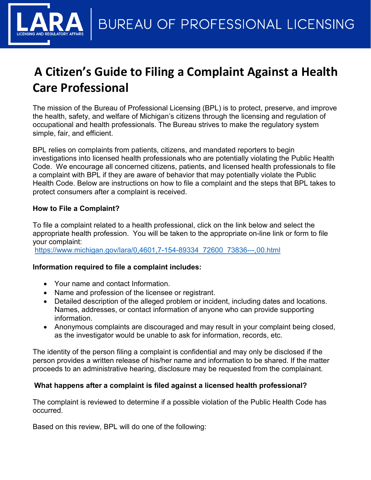# **A Citizen's Guide to Filing a Complaint Against a Health Care Professional**

The mission of the Bureau of Professional Licensing (BPL) is to protect, preserve, and improve the health, safety, and welfare of Michigan's citizens through the licensing and regulation of occupational and health professionals. The Bureau strives to make the regulatory system simple, fair, and efficient.

BPL relies on complaints from patients, citizens, and mandated reporters to begin investigations into licensed health professionals who are potentially violating the Public Health Code. We encourage all concerned citizens, patients, and licensed health professionals to file a complaint with BPL if they are aware of behavior that may potentially violate the Public Health Code. Below are instructions on how to file a complaint and the steps that BPL takes to protect consumers after a complaint is received.

## **How to File a Complaint?**

To file a complaint related to a health professional, click on the link below and select the appropriate health profession. You will be taken to the appropriate on-line link or form to file your complaint:

[https://www.michigan.gov/lara/0,4601,7-154-89334\\_72600\\_73836---,00.html](https://www.michigan.gov/lara/0,4601,7-154-89334_72600_73836---,00.html)

## **Information required to file a complaint includes:**

- Your name and contact Information.
- Name and profession of the licensee or registrant.
- Detailed description of the alleged problem or incident, including dates and locations. Names, addresses, or contact information of anyone who can provide supporting information.
- Anonymous complaints are discouraged and may result in your complaint being closed, as the investigator would be unable to ask for information, records, etc.

The identity of the person filing a complaint is confidential and may only be disclosed if the person provides a written release of his/her name and information to be shared. If the matter proceeds to an administrative hearing, disclosure may be requested from the complainant.

## **What happens after a complaint is filed against a licensed health professional?**

The complaint is reviewed to determine if a possible violation of the Public Health Code has occurred.

Based on this review, BPL will do one of the following: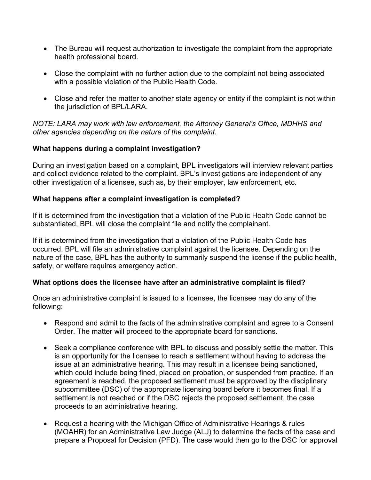- The Bureau will request authorization to investigate the complaint from the appropriate health professional board.
- Close the complaint with no further action due to the complaint not being associated with a possible violation of the Public Health Code.
- Close and refer the matter to another state agency or entity if the complaint is not within the jurisdiction of BPL/LARA.

*NOTE: LARA may work with law enforcement, the Attorney General's Office, MDHHS and other agencies depending on the nature of the complaint.* 

## **What happens during a complaint investigation?**

During an investigation based on a complaint, BPL investigators will interview relevant parties and collect evidence related to the complaint. BPL's investigations are independent of any other investigation of a licensee, such as, by their employer, law enforcement, etc.

## **What happens after a complaint investigation is completed?**

If it is determined from the investigation that a violation of the Public Health Code cannot be substantiated, BPL will close the complaint file and notify the complainant.

If it is determined from the investigation that a violation of the Public Health Code has occurred, BPL will file an administrative complaint against the licensee. Depending on the nature of the case, BPL has the authority to summarily suspend the license if the public health, safety, or welfare requires emergency action.

## **What options does the licensee have after an administrative complaint is filed?**

Once an administrative complaint is issued to a licensee, the licensee may do any of the following:

- Respond and admit to the facts of the administrative complaint and agree to a Consent Order. The matter will proceed to the appropriate board for sanctions.
- Seek a compliance conference with BPL to discuss and possibly settle the matter. This is an opportunity for the licensee to reach a settlement without having to address the issue at an administrative hearing. This may result in a licensee being sanctioned, which could include being fined, placed on probation, or suspended from practice. If an agreement is reached, the proposed settlement must be approved by the disciplinary subcommittee (DSC) of the appropriate licensing board before it becomes final. If a settlement is not reached or if the DSC rejects the proposed settlement, the case proceeds to an administrative hearing.
- Request a hearing with the Michigan Office of Administrative Hearings & rules (MOAHR) for an Administrative Law Judge (ALJ) to determine the facts of the case and prepare a Proposal for Decision (PFD). The case would then go to the DSC for approval